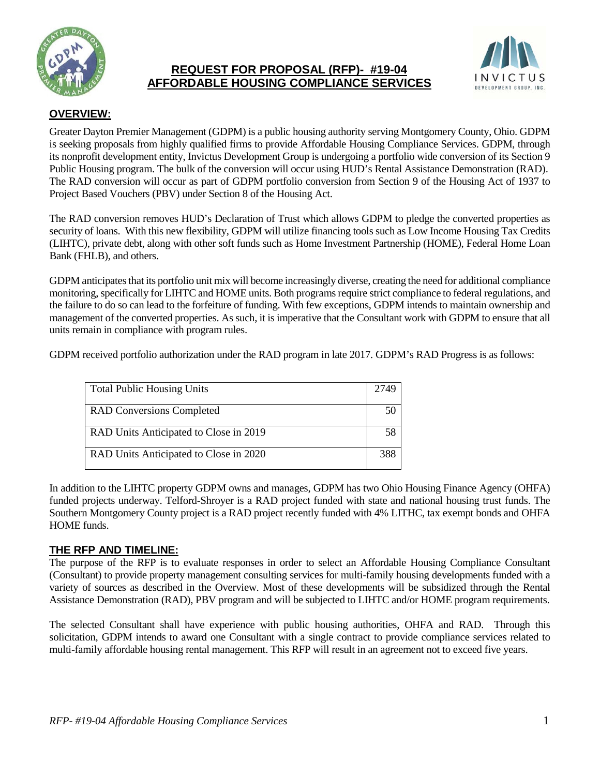

# **REQUEST FOR PROPOSAL (RFP)- #19-04 AFFORDABLE HOUSING COMPLIANCE SERVICES**



# **OVERVIEW:**

Greater Dayton Premier Management (GDPM) is a public housing authority serving Montgomery County, Ohio. GDPM is seeking proposals from highly qualified firms to provide Affordable Housing Compliance Services. GDPM, through its nonprofit development entity, Invictus Development Group is undergoing a portfolio wide conversion of its Section 9 Public Housing program. The bulk of the conversion will occur using HUD's Rental Assistance Demonstration (RAD). The RAD conversion will occur as part of GDPM portfolio conversion from Section 9 of the Housing Act of 1937 to Project Based Vouchers (PBV) under Section 8 of the Housing Act.

The RAD conversion removes HUD's Declaration of Trust which allows GDPM to pledge the converted properties as security of loans. With this new flexibility, GDPM will utilize financing tools such as Low Income Housing Tax Credits (LIHTC), private debt, along with other soft funds such as Home Investment Partnership (HOME), Federal Home Loan Bank (FHLB), and others.

GDPM anticipates that its portfolio unit mix will become increasingly diverse, creating the need for additional compliance monitoring, specifically for LIHTC and HOME units. Both programs require strict compliance to federal regulations, and the failure to do so can lead to the forfeiture of funding. With few exceptions, GDPM intends to maintain ownership and management of the converted properties. As such, it is imperative that the Consultant work with GDPM to ensure that all units remain in compliance with program rules.

GDPM received portfolio authorization under the RAD program in late 2017. GDPM's RAD Progress is as follows:

| <b>Total Public Housing Units</b>      | 2749 |
|----------------------------------------|------|
| <b>RAD Conversions Completed</b>       | 50   |
| RAD Units Anticipated to Close in 2019 | 58   |
| RAD Units Anticipated to Close in 2020 | 299  |

In addition to the LIHTC property GDPM owns and manages, GDPM has two Ohio Housing Finance Agency (OHFA) funded projects underway. Telford-Shroyer is a RAD project funded with state and national housing trust funds. The Southern Montgomery County project is a RAD project recently funded with 4% LITHC, tax exempt bonds and OHFA HOME funds.

## **THE RFP AND TIMELINE:**

The purpose of the RFP is to evaluate responses in order to select an Affordable Housing Compliance Consultant (Consultant) to provide property management consulting services for multi-family housing developments funded with a variety of sources as described in the Overview. Most of these developments will be subsidized through the Rental Assistance Demonstration (RAD), PBV program and will be subjected to LIHTC and/or HOME program requirements.

The selected Consultant shall have experience with public housing authorities, OHFA and RAD. Through this solicitation, GDPM intends to award one Consultant with a single contract to provide compliance services related to multi-family affordable housing rental management. This RFP will result in an agreement not to exceed five years.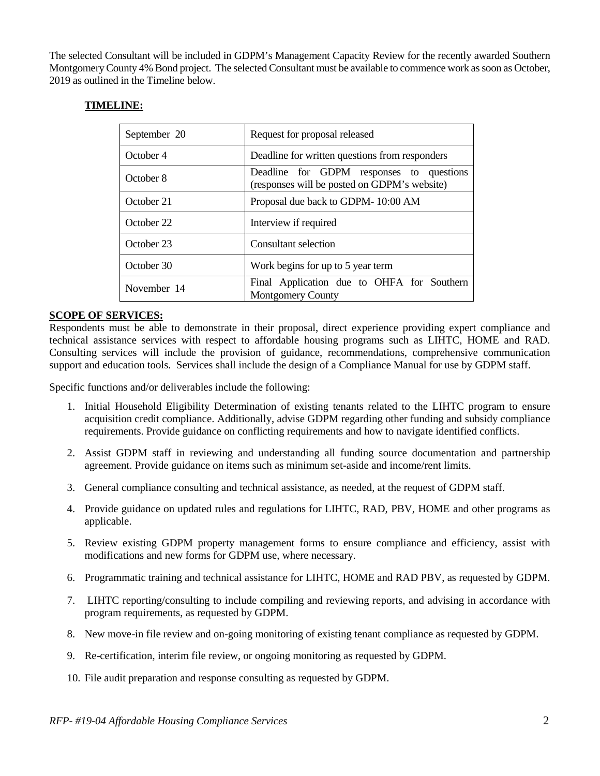The selected Consultant will be included in GDPM's Management Capacity Review for the recently awarded Southern Montgomery County 4% Bond project. The selected Consultant must be available to commence work as soon as October, 2019 as outlined in the Timeline below.

## **TIMELINE:**

| September 20 | Request for proposal released                                                            |
|--------------|------------------------------------------------------------------------------------------|
| October 4    | Deadline for written questions from responders                                           |
| October 8    | Deadline for GDPM responses to questions<br>(responses will be posted on GDPM's website) |
| October 21   | Proposal due back to GDPM-10:00 AM                                                       |
| October 22   | Interview if required                                                                    |
| October 23   | Consultant selection                                                                     |
| October 30   | Work begins for up to 5 year term                                                        |
| November 14  | Final Application due to OHFA for Southern<br><b>Montgomery County</b>                   |

### **SCOPE OF SERVICES:**

Respondents must be able to demonstrate in their proposal, direct experience providing expert compliance and technical assistance services with respect to affordable housing programs such as LIHTC, HOME and RAD. Consulting services will include the provision of guidance, recommendations, comprehensive communication support and education tools. Services shall include the design of a Compliance Manual for use by GDPM staff.

Specific functions and/or deliverables include the following:

- 1. Initial Household Eligibility Determination of existing tenants related to the LIHTC program to ensure acquisition credit compliance. Additionally, advise GDPM regarding other funding and subsidy compliance requirements. Provide guidance on conflicting requirements and how to navigate identified conflicts.
- 2. Assist GDPM staff in reviewing and understanding all funding source documentation and partnership agreement. Provide guidance on items such as minimum set-aside and income/rent limits.
- 3. General compliance consulting and technical assistance, as needed, at the request of GDPM staff.
- 4. Provide guidance on updated rules and regulations for LIHTC, RAD, PBV, HOME and other programs as applicable.
- 5. Review existing GDPM property management forms to ensure compliance and efficiency, assist with modifications and new forms for GDPM use, where necessary.
- 6. Programmatic training and technical assistance for LIHTC, HOME and RAD PBV, as requested by GDPM.
- 7. LIHTC reporting/consulting to include compiling and reviewing reports, and advising in accordance with program requirements, as requested by GDPM.
- 8. New move-in file review and on-going monitoring of existing tenant compliance as requested by GDPM.
- 9. Re-certification, interim file review, or ongoing monitoring as requested by GDPM.
- 10. File audit preparation and response consulting as requested by GDPM.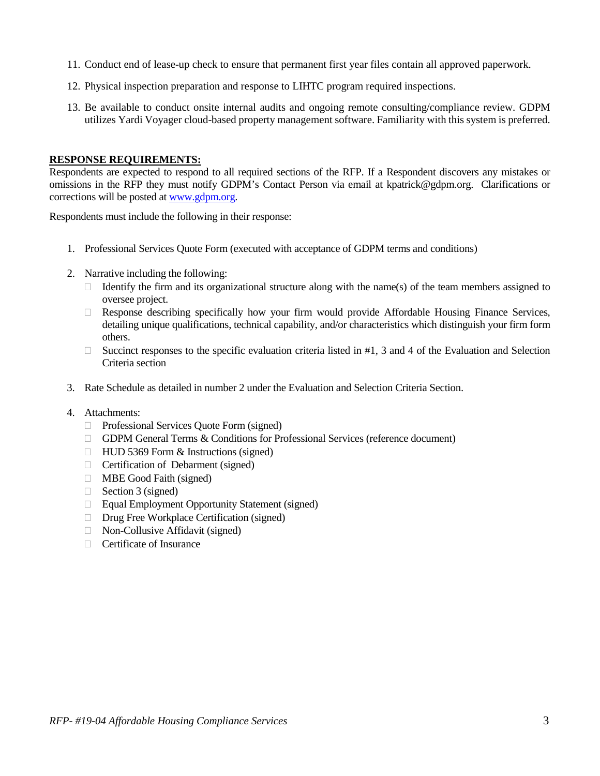- 11. Conduct end of lease-up check to ensure that permanent first year files contain all approved paperwork.
- 12. Physical inspection preparation and response to LIHTC program required inspections.
- 13. Be available to conduct onsite internal audits and ongoing remote consulting/compliance review. GDPM utilizes Yardi Voyager cloud-based property management software. Familiarity with this system is preferred.

#### **RESPONSE REQUIREMENTS:**

Respondents are expected to respond to all required sections of the RFP. If a Respondent discovers any mistakes or omissions in the RFP they must notify GDPM's Contact Person via email at kpatrick@gdpm.org. Clarifications or corrections will be posted a[t www.gdpm.org.](http://www.gdpm.org/)

Respondents must include the following in their response:

- 1. Professional Services Quote Form (executed with acceptance of GDPM terms and conditions)
- 2. Narrative including the following:
	- Identify the firm and its organizational structure along with the name(s) of the team members assigned to oversee project.
	- $\Box$  Response describing specifically how your firm would provide Affordable Housing Finance Services, detailing unique qualifications, technical capability, and/or characteristics which distinguish your firm form others.
	- $\Box$  Succinct responses to the specific evaluation criteria listed in #1, 3 and 4 of the Evaluation and Selection Criteria section
- 3. Rate Schedule as detailed in number 2 under the Evaluation and Selection Criteria Section.
- 4. Attachments:
	- □ Professional Services Quote Form (signed)
	- GDPM General Terms & Conditions for Professional Services (reference document)
	- $\Box$  HUD 5369 Form & Instructions (signed)
	- $\Box$  Certification of Debarment (signed)
	- **ID** MBE Good Faith (signed)
	- $\Box$  Section 3 (signed)
	- $\Box$  Equal Employment Opportunity Statement (signed)
	- □ Drug Free Workplace Certification (signed)
	- $\Box$  Non-Collusive Affidavit (signed)
	- □ Certificate of Insurance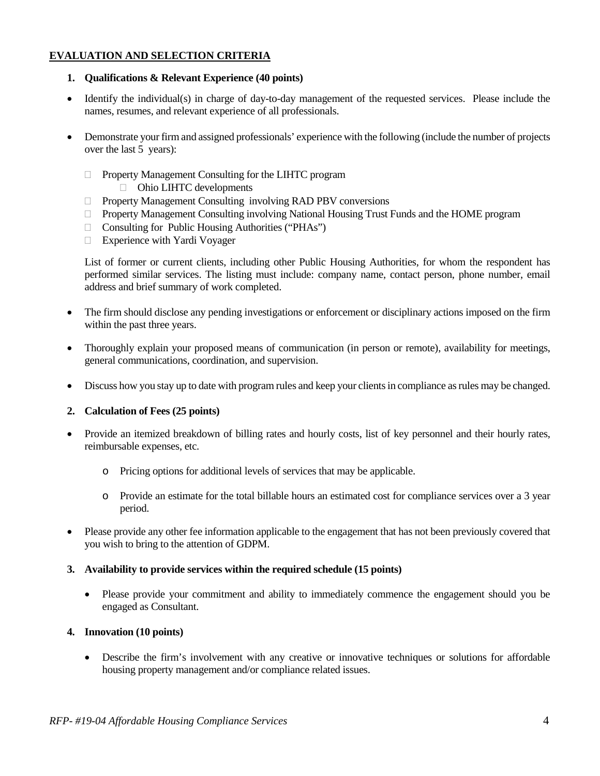## **EVALUATION AND SELECTION CRITERIA**

### **1. Qualifications & Relevant Experience (40 points)**

- Identify the individual(s) in charge of day-to-day management of the requested services. Please include the names, resumes, and relevant experience of all professionals.
- Demonstrate your firm and assigned professionals' experience with the following (include the number of projects over the last 5 years):
	- Property Management Consulting for the LIHTC program
		- Ohio LIHTC developments
	- $\Box$  Property Management Consulting involving RAD PBV conversions
	- $\Box$  Property Management Consulting involving National Housing Trust Funds and the HOME program
	- $\Box$  Consulting for Public Housing Authorities ("PHAs")
	- □ Experience with Yardi Voyager

List of former or current clients, including other Public Housing Authorities, for whom the respondent has performed similar services. The listing must include: company name, contact person, phone number, email address and brief summary of work completed.

- The firm should disclose any pending investigations or enforcement or disciplinary actions imposed on the firm within the past three years.
- Thoroughly explain your proposed means of communication (in person or remote), availability for meetings, general communications, coordination, and supervision.
- Discuss how you stay up to date with program rules and keep your clients in compliance as rules may be changed.

### **2. Calculation of Fees (25 points)**

- Provide an itemized breakdown of billing rates and hourly costs, list of key personnel and their hourly rates, reimbursable expenses, etc.
	- o Pricing options for additional levels of services that may be applicable.
	- o Provide an estimate for the total billable hours an estimated cost for compliance services over a 3 year period.
- Please provide any other fee information applicable to the engagement that has not been previously covered that you wish to bring to the attention of GDPM.

### **3. Availability to provide services within the required schedule (15 points)**

• Please provide your commitment and ability to immediately commence the engagement should you be engaged as Consultant.

### **4. Innovation (10 points)**

• Describe the firm's involvement with any creative or innovative techniques or solutions for affordable housing property management and/or compliance related issues.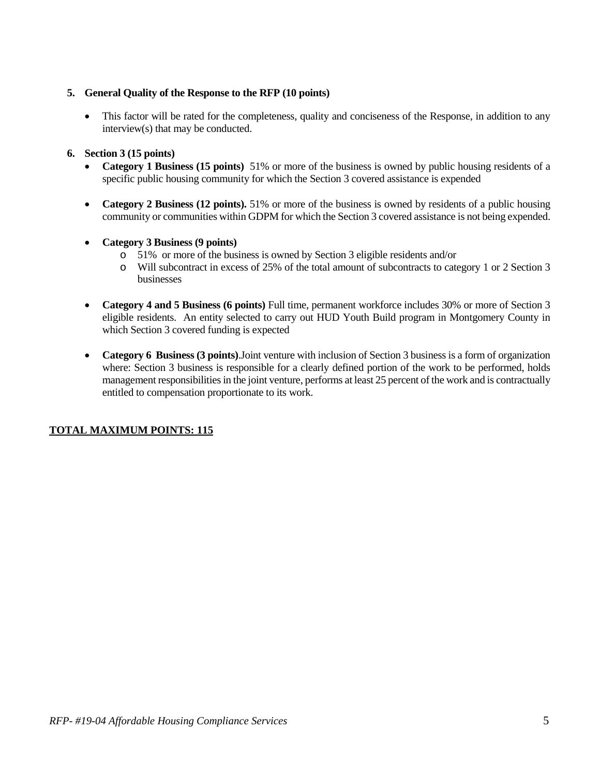### **5. General Quality of the Response to the RFP (10 points)**

• This factor will be rated for the completeness, quality and conciseness of the Response, in addition to any interview(s) that may be conducted.

### **6. Section 3 (15 points)**

- **Category 1 Business (15 points)** 51% or more of the business is owned by public housing residents of a specific public housing community for which the Section 3 covered assistance is expended
- **Category 2 Business (12 points).** 51% or more of the business is owned by residents of a public housing community or communities within GDPM for which the Section 3 covered assistance is not being expended.
- **Category 3 Business (9 points)**
	- o 51% or more of the business is owned by Section 3 eligible residents and/or
	- o Will subcontract in excess of 25% of the total amount of subcontracts to category 1 or 2 Section 3 businesses
- **Category 4 and 5 Business (6 points)** Full time, permanent workforce includes 30% or more of Section 3 eligible residents. An entity selected to carry out HUD Youth Build program in Montgomery County in which Section 3 covered funding is expected
- **Category 6 Business (3 points)**.Joint venture with inclusion of Section 3 business is a form of organization where: Section 3 business is responsible for a clearly defined portion of the work to be performed, holds management responsibilities in the joint venture, performs at least 25 percent of the work and is contractually entitled to compensation proportionate to its work.

## **TOTAL MAXIMUM POINTS: 115**